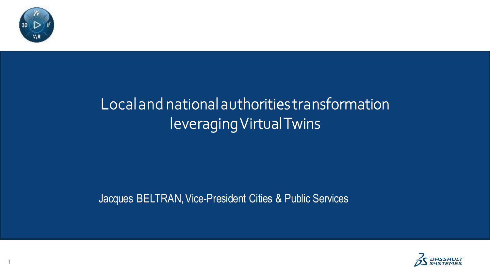

### Local and national authoritiestransformation leveragingVirtual Twins

#### Jacques BELTRAN, Vice-President Cities & Public Services



1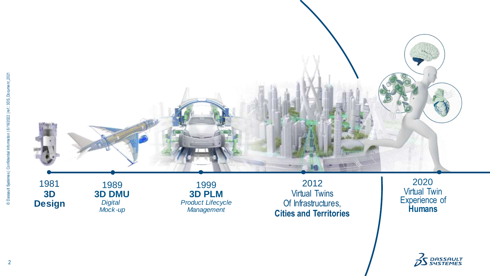

**Design 3D DMU** *Digital Mock -up*

**3D PLM** *Product Lifecycle Management*

Virtual Twins Of Infrastructures, **Cities and Territories**

Virtual Twin Experience of **Humans**

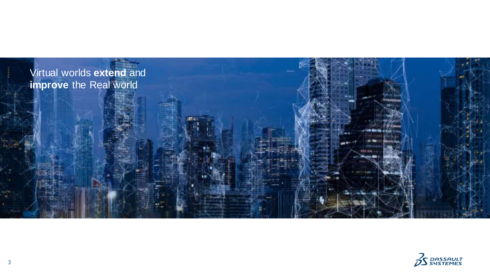

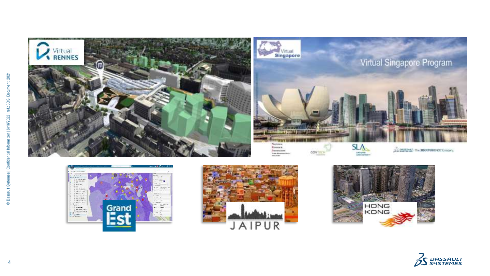











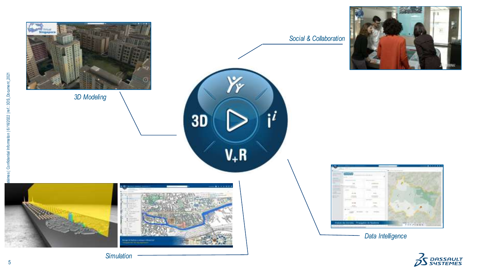

**TELEVIST** 

)<br>S *DASSAULT*<br>S SYSTEMES

*Simulation*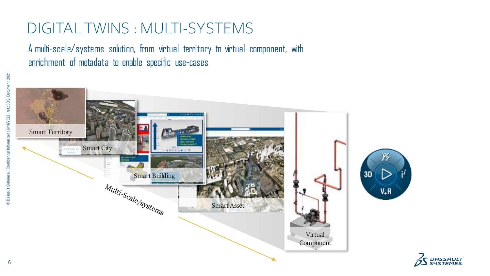#### DIGITAL TWINS : MULTI-SYSTEMS

A multi-scale/systems solution, from virtual territory to virtual component, with enrichment of metadata to enable specific use-cases



*DASSAULT*<br>SYSTEMES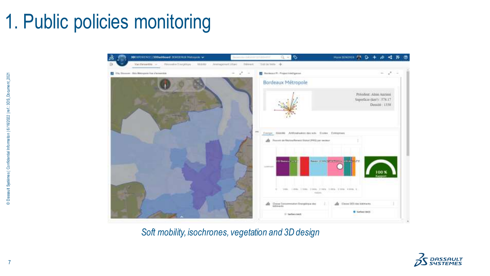# 1. Public policies monitoring



*Soft mobility, isochrones, vegetation and 3D design*

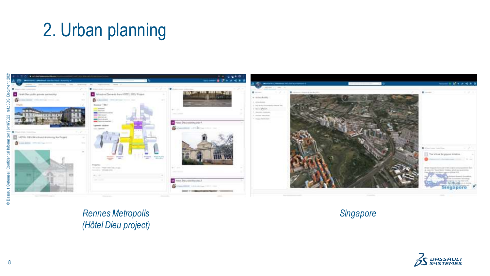## 2. Urban planning



*Rennes Metropolis (Hôtel Dieu project)*

*Singapore*



formation mes | Confidential ut Sy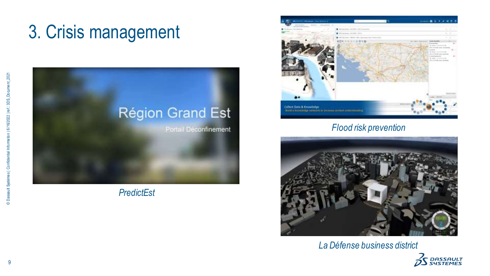## 3. Crisis management



*PredictEst*



#### *Flood risk prevention*



*La Défense business district*